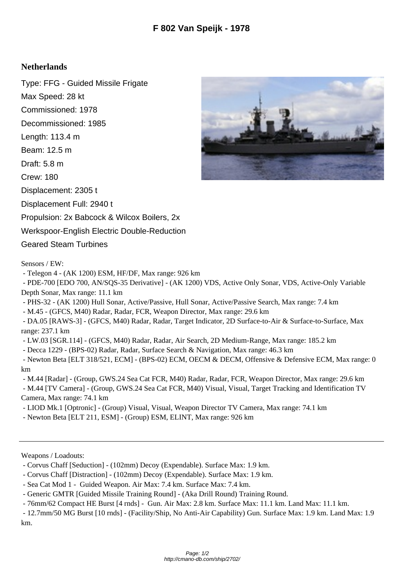## **Netherlands**

Type: FFG - Guided Missile Frigate Max Speed: 28 kt Commissioned: 1978 Decommissioned: 1985 Length: 113.4 m Beam: 12.5 m Draft: 5.8 m Crew: 180 Displacement: 2305 t Displacement Full: 2940 t Propulsion: 2x Babcock & Wilcox Boilers, 2x Werkspoor-English Electric Double-Reduction Geared Steam Turbines

Sensors / EW:

- Telegon 4 - (AK 1200) ESM, HF/DF, Max range: 926 km

 - PDE-700 [EDO 700, AN/SQS-35 Derivative] - (AK 1200) VDS, Active Only Sonar, VDS, Active-Only Variable Depth Sonar, Max range: 11.1 km

- PHS-32 - (AK 1200) Hull Sonar, Active/Passive, Hull Sonar, Active/Passive Search, Max range: 7.4 km

- M.45 - (GFCS, M40) Radar, Radar, FCR, Weapon Director, Max range: 29.6 km

 - DA.05 [RAWS-3] - (GFCS, M40) Radar, Radar, Target Indicator, 2D Surface-to-Air & Surface-to-Surface, Max range: 237.1 km

- LW.03 [SGR.114] - (GFCS, M40) Radar, Radar, Air Search, 2D Medium-Range, Max range: 185.2 km

- Decca 1229 - (BPS-02) Radar, Radar, Surface Search & Navigation, Max range: 46.3 km

 - Newton Beta [ELT 318/521, ECM] - (BPS-02) ECM, OECM & DECM, Offensive & Defensive ECM, Max range: 0 km

 - M.44 [Radar] - (Group, GWS.24 Sea Cat FCR, M40) Radar, Radar, FCR, Weapon Director, Max range: 29.6 km - M.44 [TV Camera] - (Group, GWS.24 Sea Cat FCR, M40) Visual, Visual, Target Tracking and Identification TV

Camera, Max range: 74.1 km

- LIOD Mk.1 [Optronic] - (Group) Visual, Visual, Weapon Director TV Camera, Max range: 74.1 km

- Newton Beta [ELT 211, ESM] - (Group) ESM, ELINT, Max range: 926 km

Weapons / Loadouts:

- Corvus Chaff [Seduction] - (102mm) Decoy (Expendable). Surface Max: 1.9 km.

- Corvus Chaff [Distraction] - (102mm) Decoy (Expendable). Surface Max: 1.9 km.

- Sea Cat Mod 1 - Guided Weapon. Air Max: 7.4 km. Surface Max: 7.4 km.

- Generic GMTR [Guided Missile Training Round] - (Aka Drill Round) Training Round.

- 76mm/62 Compact HE Burst [4 rnds] - Gun. Air Max: 2.8 km. Surface Max: 11.1 km. Land Max: 11.1 km.

 - 12.7mm/50 MG Burst [10 rnds] - (Facility/Ship, No Anti-Air Capability) Gun. Surface Max: 1.9 km. Land Max: 1.9 km.